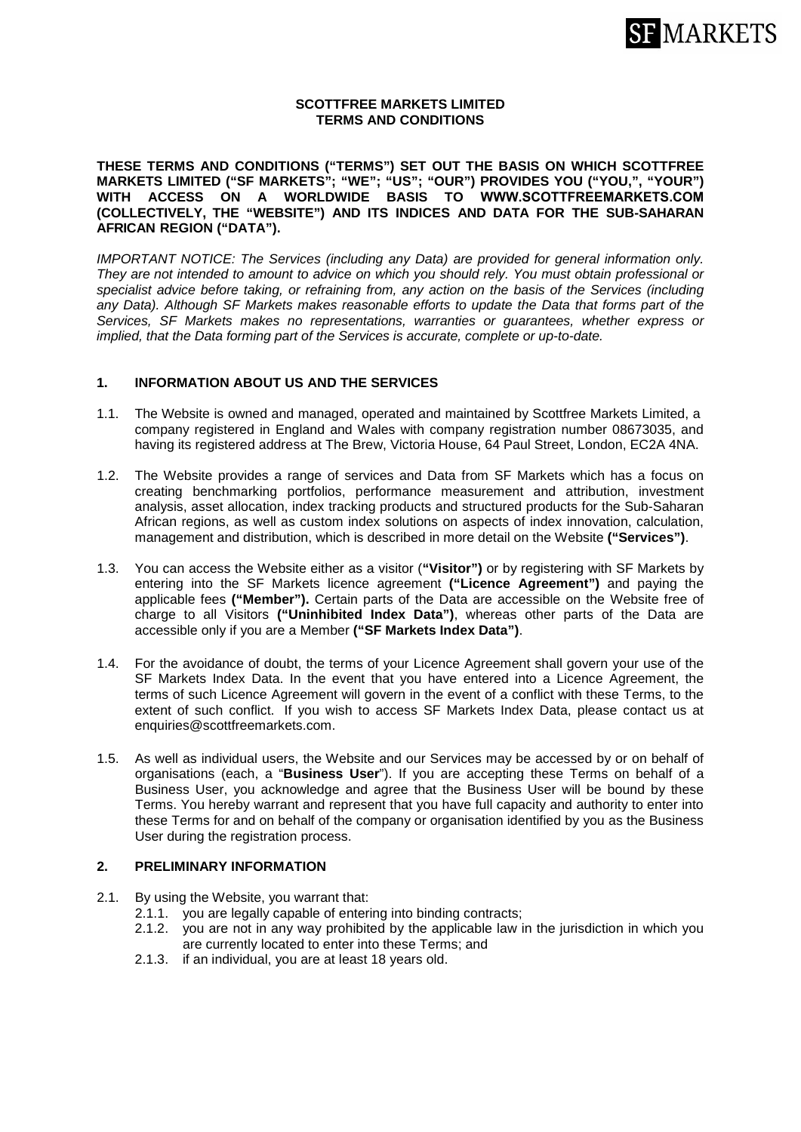

# **SCOTTFREE MARKETS LIMITED TERMS AND CONDITIONS**

**THESE TERMS AND CONDITIONS ("TERMS") SET OUT THE BASIS ON WHICH SCOTTFREE MARKETS LIMITED ("SF MARKETS"; "WE"; "US"; "OUR") PROVIDES YOU ("YOU,", "YOUR") WITH ACCESS ON A WORLDWIDE BASIS TO [WWW.SCOTTFREEMARKETS.COM](http://www.scottfreemarkets.com/) (COLLECTIVELY, THE "WEBSITE") AND ITS INDICES AND DATA FOR THE SUB-SAHARAN AFRICAN REGION ("DATA").** 

*IMPORTANT NOTICE: The Services (including any Data) are provided for general information only. They are not intended to amount to advice on which you should rely. You must obtain professional or specialist advice before taking, or refraining from, any action on the basis of the Services (including any Data). Although SF Markets makes reasonable efforts to update the Data that forms part of the Services, SF Markets makes no representations, warranties or guarantees, whether express or implied, that the Data forming part of the Services is accurate, complete or up-to-date.* 

#### **1. INFORMATION ABOUT US AND THE SERVICES**

- 1.1. The Website is owned and managed, operated and maintained by Scottfree Markets Limited, a company registered in England and Wales with company registration number 08673035, and having its registered address at The Brew, Victoria House, 64 Paul Street, London, EC2A 4NA.
- 1.2. The Website provides a range of services and Data from SF Markets which has a focus on creating benchmarking portfolios, performance measurement and attribution, investment analysis, asset allocation, index tracking products and structured products for the Sub-Saharan African regions, as well as custom index solutions on aspects of index innovation, calculation, management and distribution, which is described in more detail on the Website **("Services")**.
- 1.3. You can access the Website either as a visitor (**"Visitor")** or by registering with SF Markets by entering into the SF Markets licence agreement **("Licence Agreement")** and paying the applicable fees **("Member").** Certain parts of the Data are accessible on the Website free of charge to all Visitors **("Uninhibited Index Data")**, whereas other parts of the Data are accessible only if you are a Member **("SF Markets Index Data")**.
- 1.4. For the avoidance of doubt, the terms of your Licence Agreement shall govern your use of the SF Markets Index Data. In the event that you have entered into a Licence Agreement, the terms of such Licence Agreement will govern in the event of a conflict with these Terms, to the extent of such conflict. If you wish to access SF Markets Index Data, please contact us at [enquiries@scottfreemarkets.com.](mailto:enquiries@scottfreemarkets.com)
- 1.5. As well as individual users, the Website and our Services may be accessed by or on behalf of organisations (each, a "**Business User**"). If you are accepting these Terms on behalf of a Business User, you acknowledge and agree that the Business User will be bound by these Terms. You hereby warrant and represent that you have full capacity and authority to enter into these Terms for and on behalf of the company or organisation identified by you as the Business User during the registration process.

#### **2. PRELIMINARY INFORMATION**

- 2.1. By using the Website, you warrant that:
	- 2.1.1. you are legally capable of entering into binding contracts;
	- 2.1.2. you are not in any way prohibited by the applicable law in the jurisdiction in which you are currently located to enter into these Terms; and
	- 2.1.3. if an individual, you are at least 18 years old.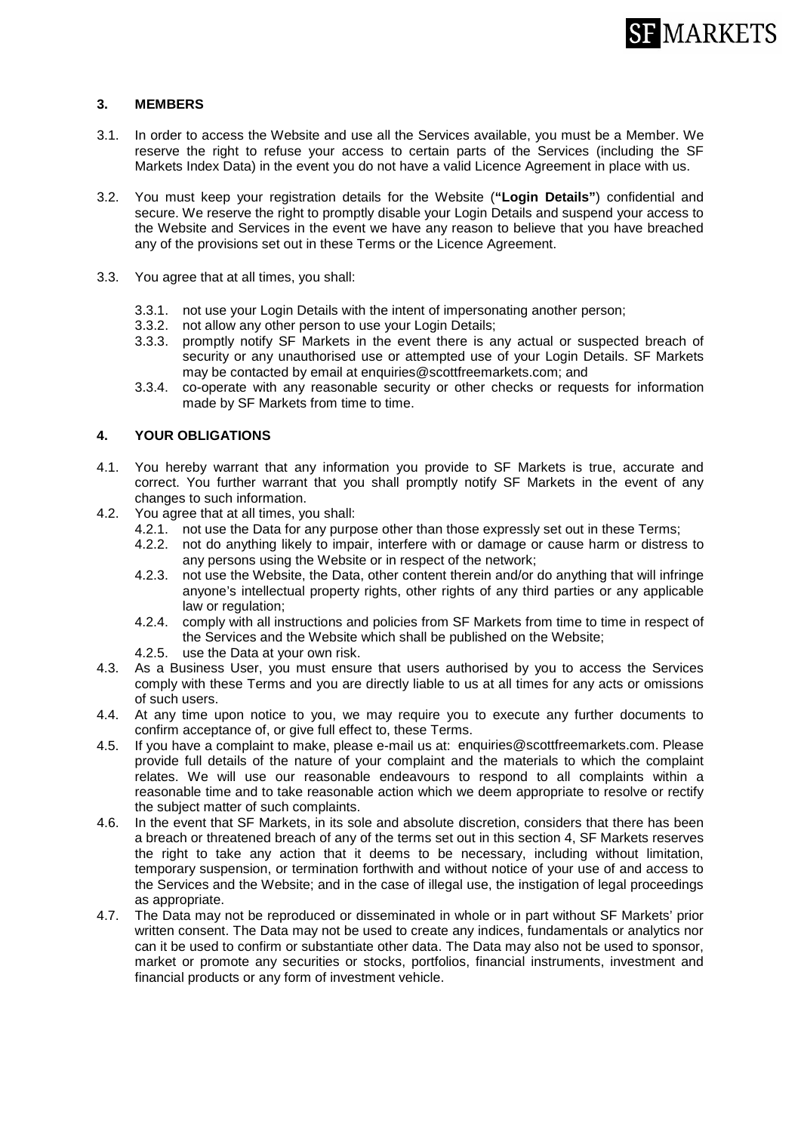

# **3. MEMBERS**

- 3.1. In order to access the Website and use all the Services available, you must be a Member. We reserve the right to refuse your access to certain parts of the Services (including the SF Markets Index Data) in the event you do not have a valid Licence Agreement in place with us.
- 3.2. You must keep your registration details for the Website (**"Login Details"**) confidential and secure. We reserve the right to promptly disable your Login Details and suspend your access to the Website and Services in the event we have any reason to believe that you have breached any of the provisions set out in these Terms or the Licence Agreement.
- 3.3. You agree that at all times, you shall:
	- 3.3.1. not use your Login Details with the intent of impersonating another person;
	- 3.3.2. not allow any other person to use your Login Details;
	- 3.3.3. promptly notify SF Markets in the event there is any actual or suspected breach of security or any unauthorised use or attempted use of your Login Details. SF Markets may be contacted by email at [enquiries@scottfreemarkets.com;](mailto:enquiries@scottfreemarkets.com) and
	- 3.3.4. co-operate with any reasonable security or other checks or requests for information made by SF Markets from time to time.

# **4. YOUR OBLIGATIONS**

- 4.1. You hereby warrant that any information you provide to SF Markets is true, accurate and correct. You further warrant that you shall promptly notify SF Markets in the event of any changes to such information.
- 4.2. You agree that at all times, you shall:
	- 4.2.1. not use the Data for any purpose other than those expressly set out in these Terms;
	- 4.2.2. not do anything likely to impair, interfere with or damage or cause harm or distress to any persons using the Website or in respect of the network;
	- 4.2.3. not use the Website, the Data, other content therein and/or do anything that will infringe anyone's intellectual property rights, other rights of any third parties or any applicable law or regulation;
	- 4.2.4. comply with all instructions and policies from SF Markets from time to time in respect of the Services and the Website which shall be published on the Website;
	- 4.2.5. use the Data at your own risk.
- 4.3. As a Business User, you must ensure that users authorised by you to access the Services comply with these Terms and you are directly liable to us at all times for any acts or omissions of such users.
- 4.4. At any time upon notice to you, we may require you to execute any further documents to confirm acceptance of, or give full effect to, these Terms.
- 4.5. If you have a complaint to make, please e-mail us at: [enquiries@scottfreemarkets.com.](mailto:enquiries@scottfreemarkets.com) Please provide full details of the nature of your complaint and the materials to which the complaint relates. We will use our reasonable endeavours to respond to all complaints within a reasonable time and to take reasonable action which we deem appropriate to resolve or rectify the subject matter of such complaints.
- 4.6. In the event that SF Markets, in its sole and absolute discretion, considers that there has been a breach or threatened breach of any of the terms set out in this section 4, SF Markets reserves the right to take any action that it deems to be necessary, including without limitation, temporary suspension, or termination forthwith and without notice of your use of and access to the Services and the Website; and in the case of illegal use, the instigation of legal proceedings as appropriate.
- 4.7. The Data may not be reproduced or disseminated in whole or in part without SF Markets' prior written consent. The Data may not be used to create any indices, fundamentals or analytics nor can it be used to confirm or substantiate other data. The Data may also not be used to sponsor, market or promote any securities or stocks, portfolios, financial instruments, investment and financial products or any form of investment vehicle.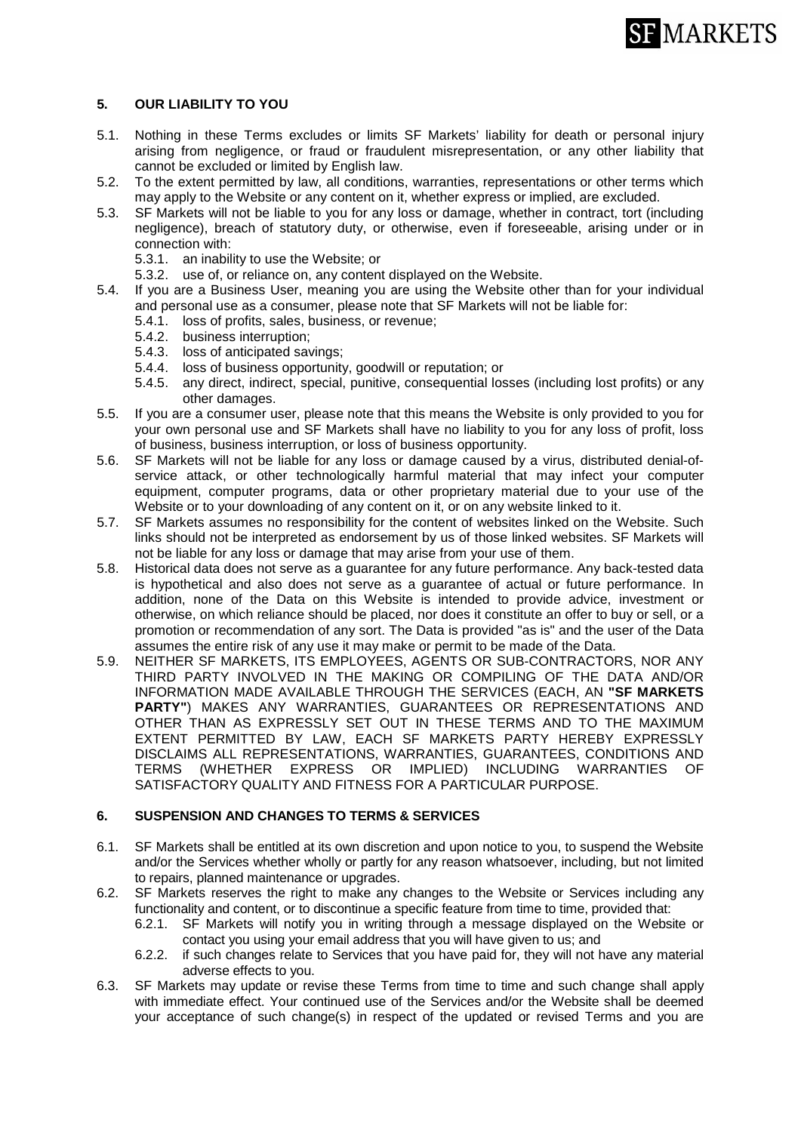

# **5. OUR LIABILITY TO YOU**

- 5.1. Nothing in these Terms excludes or limits SF Markets' liability for death or personal injury arising from negligence, or fraud or fraudulent misrepresentation, or any other liability that cannot be excluded or limited by English law.
- 5.2. To the extent permitted by law, all conditions, warranties, representations or other terms which may apply to the Website or any content on it, whether express or implied, are excluded.
- 5.3. SF Markets will not be liable to you for any loss or damage, whether in contract, tort (including negligence), breach of statutory duty, or otherwise, even if foreseeable, arising under or in connection with:
	- 5.3.1. an inability to use the Website; or
	- 5.3.2. use of, or reliance on, any content displayed on the Website.
- 5.4. If you are a Business User, meaning you are using the Website other than for your individual and personal use as a consumer, please note that SF Markets will not be liable for:
	- 5.4.1. loss of profits, sales, business, or revenue;
	- 5.4.2. business interruption;
	- 5.4.3. loss of anticipated savings;
	- 5.4.4. loss of business opportunity, goodwill or reputation; or
	- 5.4.5. any direct, indirect, special, punitive, consequential losses (including lost profits) or any other damages.
- 5.5. If you are a consumer user, please note that this means the Website is only provided to you for your own personal use and SF Markets shall have no liability to you for any loss of profit, loss of business, business interruption, or loss of business opportunity.
- 5.6. SF Markets will not be liable for any loss or damage caused by a virus, distributed denial-ofservice attack, or other technologically harmful material that may infect your computer equipment, computer programs, data or other proprietary material due to your use of the Website or to your downloading of any content on it, or on any website linked to it.
- 5.7. SF Markets assumes no responsibility for the content of websites linked on the Website. Such links should not be interpreted as endorsement by us of those linked websites. SF Markets will not be liable for any loss or damage that may arise from your use of them.
- 5.8. Historical data does not serve as a guarantee for any future performance. Any back-tested data is hypothetical and also does not serve as a guarantee of actual or future performance. In addition, none of the Data on this Website is intended to provide advice, investment or otherwise, on which reliance should be placed, nor does it constitute an offer to buy or sell, or a promotion or recommendation of any sort. The Data is provided "as is" and the user of the Data assumes the entire risk of any use it may make or permit to be made of the Data.
- 5.9. NEITHER SF MARKETS, ITS EMPLOYEES, AGENTS OR SUB-CONTRACTORS, NOR ANY THIRD PARTY INVOLVED IN THE MAKING OR COMPILING OF THE DATA AND/OR INFORMATION MADE AVAILABLE THROUGH THE SERVICES (EACH, AN **"SF MARKETS PARTY"**) MAKES ANY WARRANTIES, GUARANTEES OR REPRESENTATIONS AND OTHER THAN AS EXPRESSLY SET OUT IN THESE TERMS AND TO THE MAXIMUM EXTENT PERMITTED BY LAW, EACH SF MARKETS PARTY HEREBY EXPRESSLY DISCLAIMS ALL REPRESENTATIONS, WARRANTIES, GUARANTEES, CONDITIONS AND TERMS (WHETHER EXPRESS OR IMPLIED) INCLUDING WARRANTIES OF SATISFACTORY QUALITY AND FITNESS FOR A PARTICULAR PURPOSE.

### **6. SUSPENSION AND CHANGES TO TERMS & SERVICES**

- 6.1. SF Markets shall be entitled at its own discretion and upon notice to you, to suspend the Website and/or the Services whether wholly or partly for any reason whatsoever, including, but not limited to repairs, planned maintenance or upgrades.
- 6.2. SF Markets reserves the right to make any changes to the Website or Services including any functionality and content, or to discontinue a specific feature from time to time, provided that:
	- 6.2.1. SF Markets will notify you in writing through a message displayed on the Website or contact you using your email address that you will have given to us; and
	- 6.2.2. if such changes relate to Services that you have paid for, they will not have any material adverse effects to you.
- 6.3. SF Markets may update or revise these Terms from time to time and such change shall apply with immediate effect. Your continued use of the Services and/or the Website shall be deemed your acceptance of such change(s) in respect of the updated or revised Terms and you are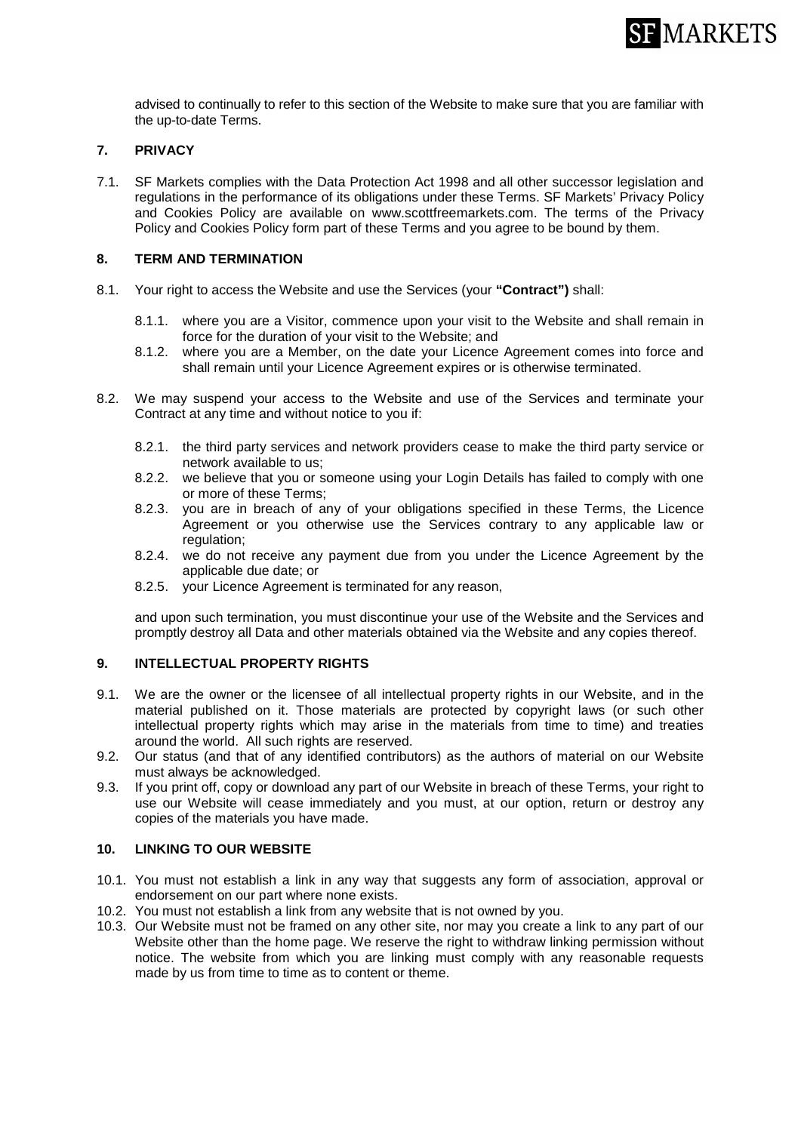

advised to continually to refer to this section of the Website to make sure that you are familiar with the up-to-date Terms.

### **7. PRIVACY**

7.1. SF Markets complies with the Data Protection Act 1998 and all other successor legislation and regulations in the performance of its obligations under these Terms. SF Markets' Privacy Policy and Cookies Policy are available on www.scottfreemarkets.com. The terms of the Privacy Policy and Cookies Policy form part of these Terms and you agree to be bound by them.

# **8. TERM AND TERMINATION**

- 8.1. Your right to access the Website and use the Services (your **"Contract")** shall:
	- 8.1.1. where you are a Visitor, commence upon your visit to the Website and shall remain in force for the duration of your visit to the Website; and
	- 8.1.2. where you are a Member, on the date your Licence Agreement comes into force and shall remain until your Licence Agreement expires or is otherwise terminated.
- 8.2. We may suspend your access to the Website and use of the Services and terminate your Contract at any time and without notice to you if:
	- 8.2.1. the third party services and network providers cease to make the third party service or network available to us;
	- 8.2.2. we believe that you or someone using your Login Details has failed to comply with one or more of these Terms;
	- 8.2.3. you are in breach of any of your obligations specified in these Terms, the Licence Agreement or you otherwise use the Services contrary to any applicable law or regulation:
	- 8.2.4. we do not receive any payment due from you under the Licence Agreement by the applicable due date; or
	- 8.2.5. your Licence Agreement is terminated for any reason,

and upon such termination, you must discontinue your use of the Website and the Services and promptly destroy all Data and other materials obtained via the Website and any copies thereof.

# **9. INTELLECTUAL PROPERTY RIGHTS**

- 9.1. We are the owner or the licensee of all intellectual property rights in our Website, and in the material published on it. Those materials are protected by copyright laws (or such other intellectual property rights which may arise in the materials from time to time) and treaties around the world. All such rights are reserved.
- 9.2. Our status (and that of any identified contributors) as the authors of material on our Website must always be acknowledged.
- 9.3. If you print off, copy or download any part of our Website in breach of these Terms, your right to use our Website will cease immediately and you must, at our option, return or destroy any copies of the materials you have made.

#### **10. LINKING TO OUR WEBSITE**

- 10.1. You must not establish a link in any way that suggests any form of association, approval or endorsement on our part where none exists.
- 10.2. You must not establish a link from any website that is not owned by you.
- 10.3. Our Website must not be framed on any other site, nor may you create a link to any part of our Website other than the home page. We reserve the right to withdraw linking permission without notice. The website from which you are linking must comply with any reasonable requests made by us from time to time as to content or theme.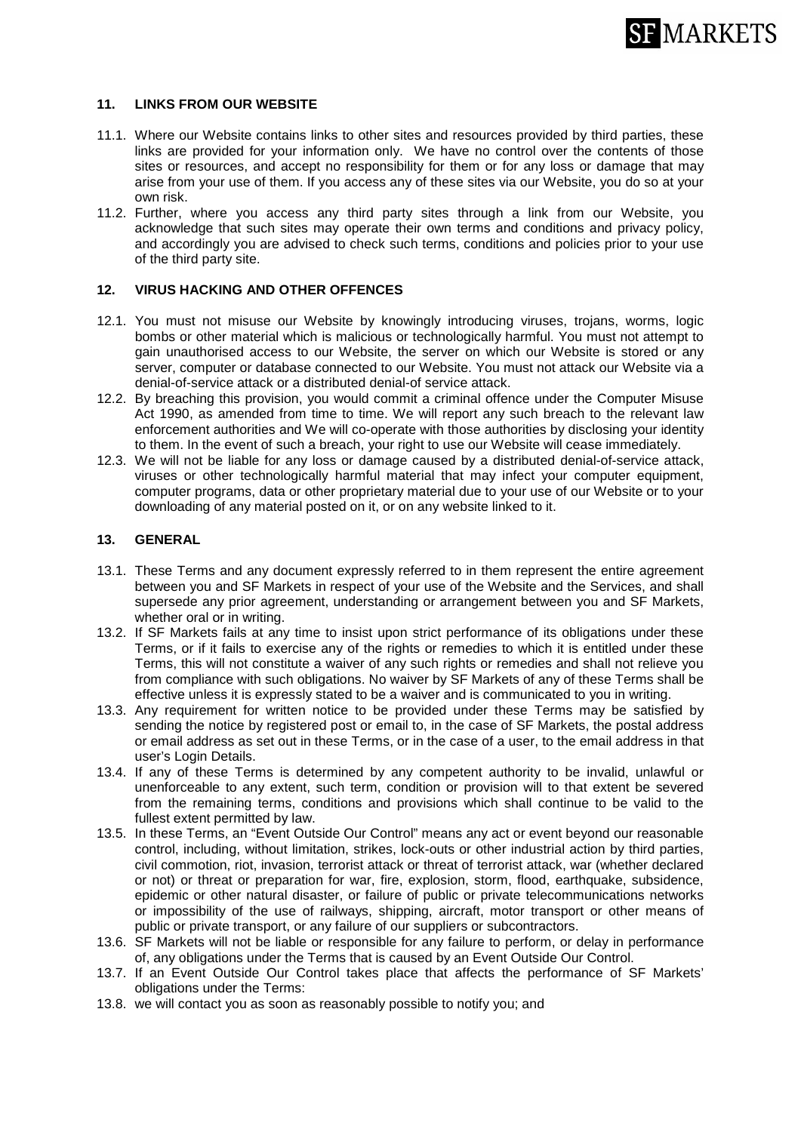

# **11. LINKS FROM OUR WEBSITE**

- 11.1. Where our Website contains links to other sites and resources provided by third parties, these links are provided for your information only. We have no control over the contents of those sites or resources, and accept no responsibility for them or for any loss or damage that may arise from your use of them. If you access any of these sites via our Website, you do so at your own risk.
- 11.2. Further, where you access any third party sites through a link from our Website, you acknowledge that such sites may operate their own terms and conditions and privacy policy, and accordingly you are advised to check such terms, conditions and policies prior to your use of the third party site.

### **12. VIRUS HACKING AND OTHER OFFENCES**

- 12.1. You must not misuse our Website by knowingly introducing viruses, trojans, worms, logic bombs or other material which is malicious or technologically harmful. You must not attempt to gain unauthorised access to our Website, the server on which our Website is stored or any server, computer or database connected to our Website. You must not attack our Website via a denial-of-service attack or a distributed denial-of service attack.
- 12.2. By breaching this provision, you would commit a criminal offence under the Computer Misuse Act 1990, as amended from time to time. We will report any such breach to the relevant law enforcement authorities and We will co-operate with those authorities by disclosing your identity to them. In the event of such a breach, your right to use our Website will cease immediately.
- 12.3. We will not be liable for any loss or damage caused by a distributed denial-of-service attack, viruses or other technologically harmful material that may infect your computer equipment, computer programs, data or other proprietary material due to your use of our Website or to your downloading of any material posted on it, or on any website linked to it.

# **13. GENERAL**

- 13.1. These Terms and any document expressly referred to in them represent the entire agreement between you and SF Markets in respect of your use of the Website and the Services, and shall supersede any prior agreement, understanding or arrangement between you and SF Markets, whether oral or in writing.
- 13.2. If SF Markets fails at any time to insist upon strict performance of its obligations under these Terms, or if it fails to exercise any of the rights or remedies to which it is entitled under these Terms, this will not constitute a waiver of any such rights or remedies and shall not relieve you from compliance with such obligations. No waiver by SF Markets of any of these Terms shall be effective unless it is expressly stated to be a waiver and is communicated to you in writing.
- 13.3. Any requirement for written notice to be provided under these Terms may be satisfied by sending the notice by registered post or email to, in the case of SF Markets, the postal address or email address as set out in these Terms, or in the case of a user, to the email address in that user's Login Details.
- 13.4. If any of these Terms is determined by any competent authority to be invalid, unlawful or unenforceable to any extent, such term, condition or provision will to that extent be severed from the remaining terms, conditions and provisions which shall continue to be valid to the fullest extent permitted by law.
- 13.5. In these Terms, an "Event Outside Our Control" means any act or event beyond our reasonable control, including, without limitation, strikes, lock-outs or other industrial action by third parties, civil commotion, riot, invasion, terrorist attack or threat of terrorist attack, war (whether declared or not) or threat or preparation for war, fire, explosion, storm, flood, earthquake, subsidence, epidemic or other natural disaster, or failure of public or private telecommunications networks or impossibility of the use of railways, shipping, aircraft, motor transport or other means of public or private transport, or any failure of our suppliers or subcontractors.
- 13.6. SF Markets will not be liable or responsible for any failure to perform, or delay in performance of, any obligations under the Terms that is caused by an Event Outside Our Control.
- 13.7. If an Event Outside Our Control takes place that affects the performance of SF Markets' obligations under the Terms:
- 13.8. we will contact you as soon as reasonably possible to notify you; and